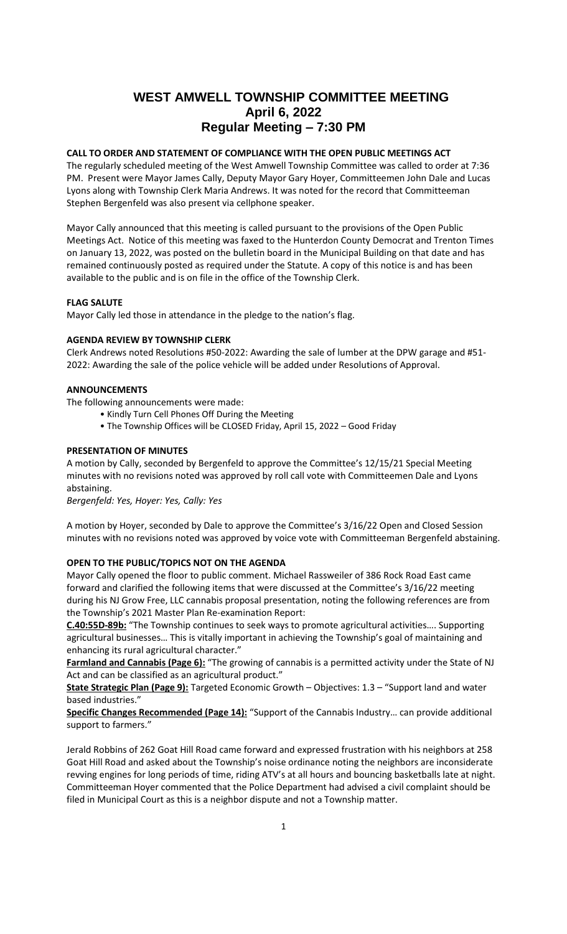# **WEST AMWELL TOWNSHIP COMMITTEE MEETING April 6, 2022 Regular Meeting – 7:30 PM**

# **CALL TO ORDER AND STATEMENT OF COMPLIANCE WITH THE OPEN PUBLIC MEETINGS ACT**

The regularly scheduled meeting of the West Amwell Township Committee was called to order at 7:36 PM. Present were Mayor James Cally, Deputy Mayor Gary Hoyer, Committeemen John Dale and Lucas Lyons along with Township Clerk Maria Andrews. It was noted for the record that Committeeman Stephen Bergenfeld was also present via cellphone speaker.

Mayor Cally announced that this meeting is called pursuant to the provisions of the Open Public Meetings Act. Notice of this meeting was faxed to the Hunterdon County Democrat and Trenton Times on January 13, 2022, was posted on the bulletin board in the Municipal Building on that date and has remained continuously posted as required under the Statute. A copy of this notice is and has been available to the public and is on file in the office of the Township Clerk.

### **FLAG SALUTE**

Mayor Cally led those in attendance in the pledge to the nation's flag.

### **AGENDA REVIEW BY TOWNSHIP CLERK**

Clerk Andrews noted Resolutions #50-2022: Awarding the sale of lumber at the DPW garage and #51- 2022: Awarding the sale of the police vehicle will be added under Resolutions of Approval.

# **ANNOUNCEMENTS**

The following announcements were made:

- Kindly Turn Cell Phones Off During the Meeting
- The Township Offices will be CLOSED Friday, April 15, 2022 Good Friday

### **PRESENTATION OF MINUTES**

A motion by Cally, seconded by Bergenfeld to approve the Committee's 12/15/21 Special Meeting minutes with no revisions noted was approved by roll call vote with Committeemen Dale and Lyons abstaining.

*Bergenfeld: Yes, Hoyer: Yes, Cally: Yes*

A motion by Hoyer, seconded by Dale to approve the Committee's 3/16/22 Open and Closed Session minutes with no revisions noted was approved by voice vote with Committeeman Bergenfeld abstaining.

### **OPEN TO THE PUBLIC/TOPICS NOT ON THE AGENDA**

Mayor Cally opened the floor to public comment. Michael Rassweiler of 386 Rock Road East came forward and clarified the following items that were discussed at the Committee's 3/16/22 meeting during his NJ Grow Free, LLC cannabis proposal presentation, noting the following references are from the Township's 2021 Master Plan Re-examination Report:

**C.40:55D-89b:** "The Township continues to seek ways to promote agricultural activities…. Supporting agricultural businesses… This is vitally important in achieving the Township's goal of maintaining and enhancing its rural agricultural character."

**Farmland and Cannabis (Page 6):** "The growing of cannabis is a permitted activity under the State of NJ Act and can be classified as an agricultural product."

**State Strategic Plan (Page 9):** Targeted Economic Growth – Objectives: 1.3 – "Support land and water based industries."

**Specific Changes Recommended (Page 14):** "Support of the Cannabis Industry… can provide additional support to farmers."

Jerald Robbins of 262 Goat Hill Road came forward and expressed frustration with his neighbors at 258 Goat Hill Road and asked about the Township's noise ordinance noting the neighbors are inconsiderate revving engines for long periods of time, riding ATV's at all hours and bouncing basketballs late at night. Committeeman Hoyer commented that the Police Department had advised a civil complaint should be filed in Municipal Court as this is a neighbor dispute and not a Township matter.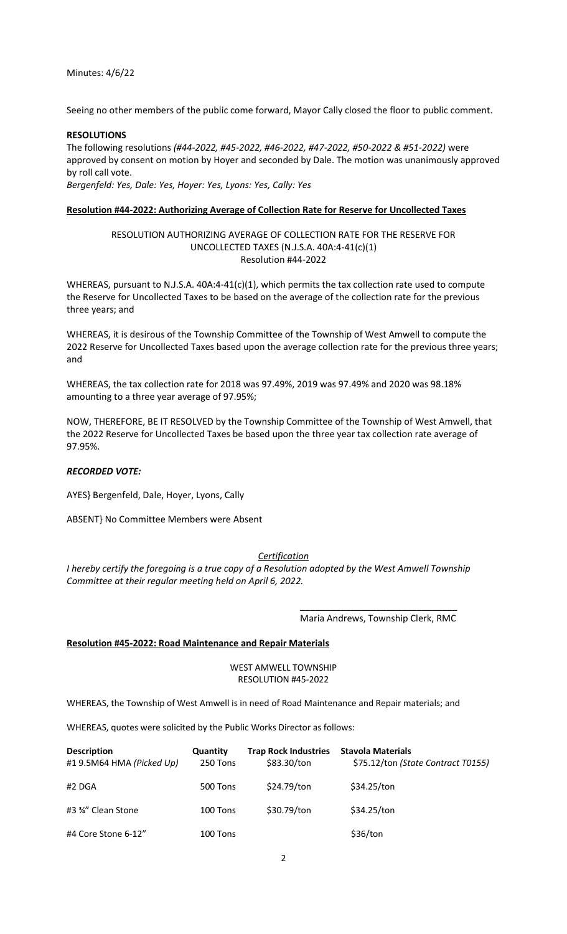Seeing no other members of the public come forward, Mayor Cally closed the floor to public comment.

### **RESOLUTIONS**

The following resolutions *(#44-2022, #45-2022, #46-2022, #47-2022, #50-2022 & #51-2022)* were approved by consent on motion by Hoyer and seconded by Dale. The motion was unanimously approved by roll call vote.

*Bergenfeld: Yes, Dale: Yes, Hoyer: Yes, Lyons: Yes, Cally: Yes*

### **Resolution #44-2022: Authorizing Average of Collection Rate for Reserve for Uncollected Taxes**

# RESOLUTION AUTHORIZING AVERAGE OF COLLECTION RATE FOR THE RESERVE FOR UNCOLLECTED TAXES (N.J.S.A. 40A:4-41(c)(1) Resolution #44-2022

WHEREAS, pursuant to N.J.S.A. 40A:4-41(c)(1), which permits the tax collection rate used to compute the Reserve for Uncollected Taxes to be based on the average of the collection rate for the previous three years; and

WHEREAS, it is desirous of the Township Committee of the Township of West Amwell to compute the 2022 Reserve for Uncollected Taxes based upon the average collection rate for the previous three years; and

WHEREAS, the tax collection rate for 2018 was 97.49%, 2019 was 97.49% and 2020 was 98.18% amounting to a three year average of 97.95%;

NOW, THEREFORE, BE IT RESOLVED by the Township Committee of the Township of West Amwell, that the 2022 Reserve for Uncollected Taxes be based upon the three year tax collection rate average of 97.95%.

# *RECORDED VOTE:*

AYES} Bergenfeld, Dale, Hoyer, Lyons, Cally

ABSENT} No Committee Members were Absent

### *Certification*

*I hereby certify the foregoing is a true copy of a Resolution adopted by the West Amwell Township Committee at their regular meeting held on April 6, 2022.*

> \_\_\_\_\_\_\_\_\_\_\_\_\_\_\_\_\_\_\_\_\_\_\_\_\_\_\_\_\_\_\_ Maria Andrews, Township Clerk, RMC

### **Resolution #45-2022: Road Maintenance and Repair Materials**

### WEST AMWELL TOWNSHIP RESOLUTION #45-2022

WHEREAS, the Township of West Amwell is in need of Road Maintenance and Repair materials; and

WHEREAS, quotes were solicited by the Public Works Director as follows:

| <b>Description</b><br>#19.5M64 HMA (Picked Up) | Quantity<br>250 Tons | <b>Trap Rock Industries</b><br>\$83.30/ton | <b>Stavola Materials</b><br>\$75.12/ton (State Contract T0155) |
|------------------------------------------------|----------------------|--------------------------------------------|----------------------------------------------------------------|
| #2 DGA                                         | 500 Tons             | \$24.79/ton                                | \$34.25/ton                                                    |
| #3 34" Clean Stone                             | 100 Tons             | \$30.79/ton                                | \$34.25/ton                                                    |
| #4 Core Stone 6-12"                            | 100 Tons             |                                            | \$36/ton                                                       |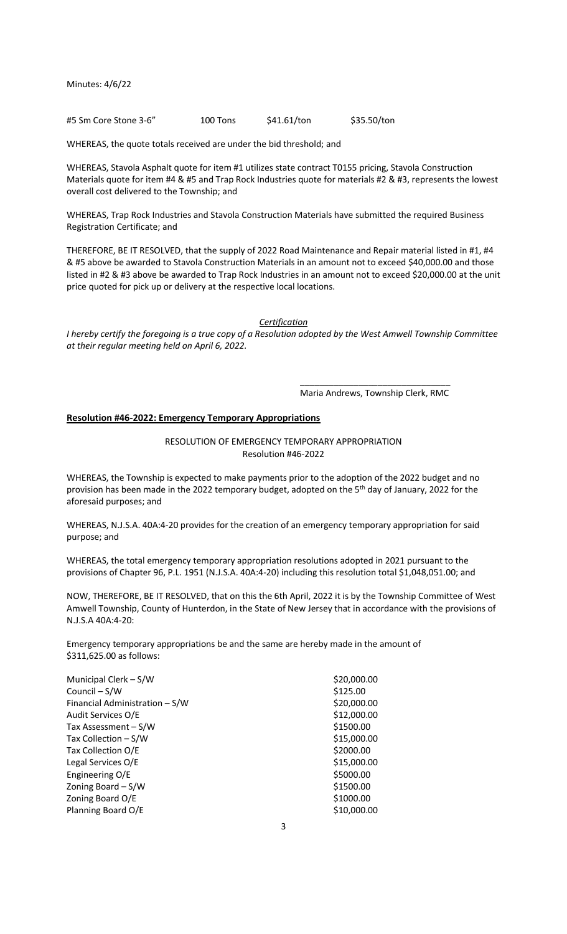#5 Sm Core Stone 3-6" 100 Tons \$41.61/ton \$35.50/ton

WHEREAS, the quote totals received are under the bid threshold; and

WHEREAS, Stavola Asphalt quote for item #1 utilizes state contract T0155 pricing, Stavola Construction Materials quote for item #4 & #5 and Trap Rock Industries quote for materials #2 & #3, represents the lowest overall cost delivered to the Township; and

WHEREAS, Trap Rock Industries and Stavola Construction Materials have submitted the required Business Registration Certificate; and

THEREFORE, BE IT RESOLVED, that the supply of 2022 Road Maintenance and Repair material listed in #1, #4 & #5 above be awarded to Stavola Construction Materials in an amount not to exceed \$40,000.00 and those listed in #2 & #3 above be awarded to Trap Rock Industries in an amount not to exceed \$20,000.00 at the unit price quoted for pick up or delivery at the respective local locations.

*Certification*

*I hereby certify the foregoing is a true copy of a Resolution adopted by the West Amwell Township Committee at their regular meeting held on April 6, 2022.*

> \_\_\_\_\_\_\_\_\_\_\_\_\_\_\_\_\_\_\_\_\_\_\_\_\_\_\_\_\_\_\_ Maria Andrews, Township Clerk, RMC

### **Resolution #46-2022: Emergency Temporary Appropriations**

### RESOLUTION OF EMERGENCY TEMPORARY APPROPRIATION Resolution #46-2022

WHEREAS, the Township is expected to make payments prior to the adoption of the 2022 budget and no provision has been made in the 2022 temporary budget, adopted on the 5<sup>th</sup> day of January, 2022 for the aforesaid purposes; and

WHEREAS, N.J.S.A. 40A:4-20 provides for the creation of an emergency temporary appropriation for said purpose; and

WHEREAS, the total emergency temporary appropriation resolutions adopted in 2021 pursuant to the provisions of Chapter 96, P.L. 1951 (N.J.S.A. 40A:4-20) including this resolution total \$1,048,051.00; and

NOW, THEREFORE, BE IT RESOLVED, that on this the 6th April, 2022 it is by the Township Committee of West Amwell Township, County of Hunterdon, in the State of New Jersey that in accordance with the provisions of N.J.S.A 40A:4-20:

Emergency temporary appropriations be and the same are hereby made in the amount of \$311,625.00 as follows:

| Municipal Clerk - S/W          | \$20,000.00 |
|--------------------------------|-------------|
| Council – S/W                  | \$125.00    |
| Financial Administration - S/W | \$20,000.00 |
| Audit Services O/E             | \$12,000.00 |
| Tax Assessment - S/W           | \$1500.00   |
| Tax Collection $-S/W$          | \$15,000.00 |
| Tax Collection O/E             | \$2000.00   |
| Legal Services O/E             | \$15,000.00 |
| Engineering O/E                | \$5000.00   |
| Zoning Board $-S/W$            | \$1500.00   |
| Zoning Board O/E               | \$1000.00   |
| Planning Board O/E             | \$10,000.00 |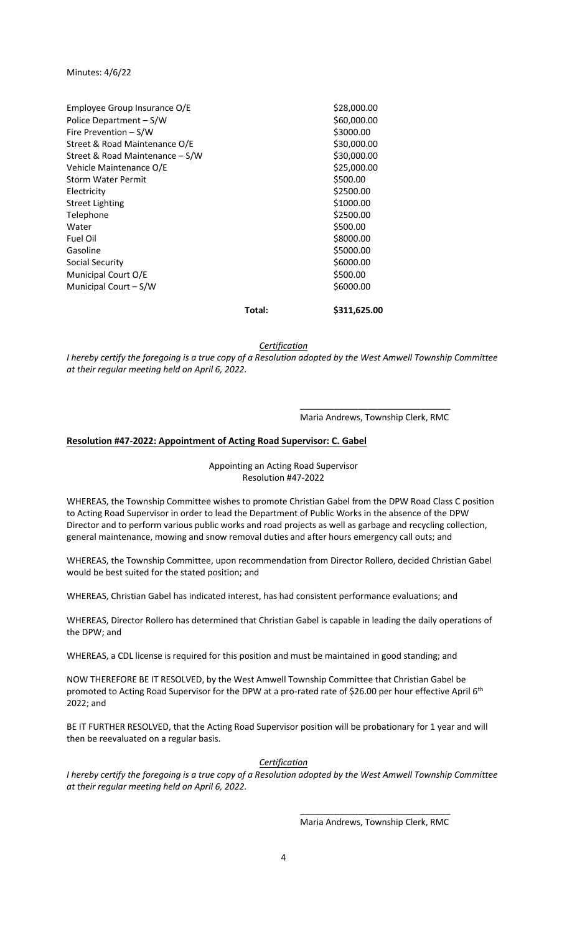|                                 | Total: | \$311,625.00 |
|---------------------------------|--------|--------------|
| Municipal Court - S/W           |        | \$6000.00    |
| Municipal Court O/E             |        | \$500.00     |
| Social Security                 |        | \$6000.00    |
| Gasoline                        |        | \$5000.00    |
| Fuel Oil                        |        | \$8000.00    |
| Water                           |        | \$500.00     |
| Telephone                       |        | \$2500.00    |
| <b>Street Lighting</b>          |        | \$1000.00    |
| Electricity                     |        | \$2500.00    |
| <b>Storm Water Permit</b>       |        | \$500.00     |
| Vehicle Maintenance O/E         |        | \$25,000.00  |
| Street & Road Maintenance - S/W |        | \$30,000.00  |
| Street & Road Maintenance O/E   |        | \$30,000.00  |
| Fire Prevention - S/W           |        | \$3000.00    |
| Police Department - S/W         |        | \$60,000.00  |
| Employee Group Insurance O/E    |        | \$28,000.00  |

*Certification*

*I hereby certify the foregoing is a true copy of a Resolution adopted by the West Amwell Township Committee at their regular meeting held on April 6, 2022.*

> \_\_\_\_\_\_\_\_\_\_\_\_\_\_\_\_\_\_\_\_\_\_\_\_\_\_\_\_\_\_\_ Maria Andrews, Township Clerk, RMC

### **Resolution #47-2022: Appointment of Acting Road Supervisor: C. Gabel**

Appointing an Acting Road Supervisor Resolution #47-2022

WHEREAS, the Township Committee wishes to promote Christian Gabel from the DPW Road Class C position to Acting Road Supervisor in order to lead the Department of Public Works in the absence of the DPW Director and to perform various public works and road projects as well as garbage and recycling collection, general maintenance, mowing and snow removal duties and after hours emergency call outs; and

WHEREAS, the Township Committee, upon recommendation from Director Rollero, decided Christian Gabel would be best suited for the stated position; and

WHEREAS, Christian Gabel has indicated interest, has had consistent performance evaluations; and

WHEREAS, Director Rollero has determined that Christian Gabel is capable in leading the daily operations of the DPW; and

WHEREAS, a CDL license is required for this position and must be maintained in good standing; and

NOW THEREFORE BE IT RESOLVED, by the West Amwell Township Committee that Christian Gabel be promoted to Acting Road Supervisor for the DPW at a pro-rated rate of \$26.00 per hour effective April 6<sup>th</sup> 2022; and

BE IT FURTHER RESOLVED, that the Acting Road Supervisor position will be probationary for 1 year and will then be reevaluated on a regular basis.

*Certification*

*I hereby certify the foregoing is a true copy of a Resolution adopted by the West Amwell Township Committee at their regular meeting held on April 6, 2022.*

> \_\_\_\_\_\_\_\_\_\_\_\_\_\_\_\_\_\_\_\_\_\_\_\_\_\_\_\_\_\_\_ Maria Andrews, Township Clerk, RMC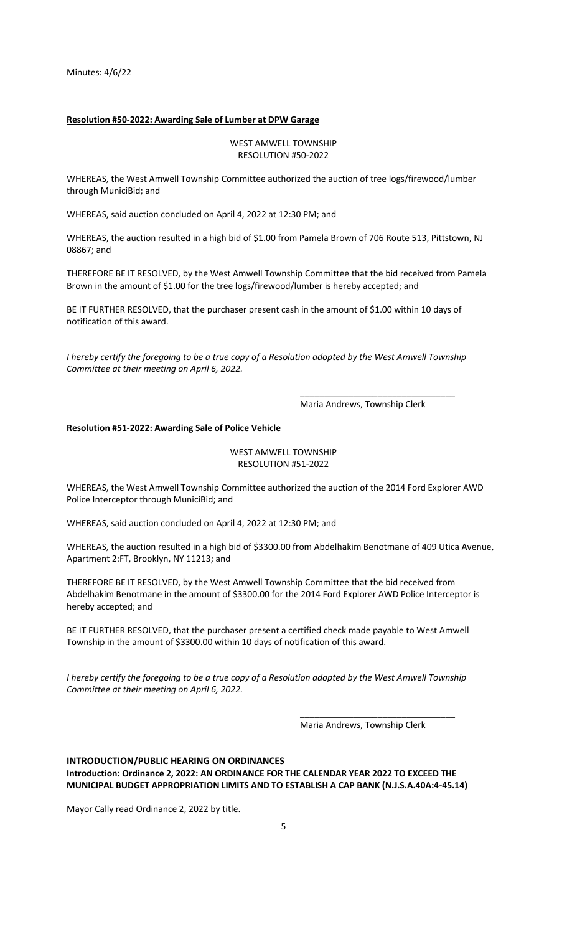#### **Resolution #50-2022: Awarding Sale of Lumber at DPW Garage**

### WEST AMWELL TOWNSHIP RESOLUTION #50-2022

WHEREAS, the West Amwell Township Committee authorized the auction of tree logs/firewood/lumber through MuniciBid; and

WHEREAS, said auction concluded on April 4, 2022 at 12:30 PM; and

WHEREAS, the auction resulted in a high bid of \$1.00 from Pamela Brown of 706 Route 513, Pittstown, NJ 08867; and

THEREFORE BE IT RESOLVED, by the West Amwell Township Committee that the bid received from Pamela Brown in the amount of \$1.00 for the tree logs/firewood/lumber is hereby accepted; and

BE IT FURTHER RESOLVED, that the purchaser present cash in the amount of \$1.00 within 10 days of notification of this award.

*I hereby certify the foregoing to be a true copy of a Resolution adopted by the West Amwell Township Committee at their meeting on April 6, 2022.*

Maria Andrews, Township Clerk

\_\_\_\_\_\_\_\_\_\_\_\_\_\_\_\_\_\_\_\_\_\_\_\_\_\_\_\_\_\_\_\_

#### **Resolution #51-2022: Awarding Sale of Police Vehicle**

### WEST AMWELL TOWNSHIP RESOLUTION #51-2022

WHEREAS, the West Amwell Township Committee authorized the auction of the 2014 Ford Explorer AWD Police Interceptor through MuniciBid; and

WHEREAS, said auction concluded on April 4, 2022 at 12:30 PM; and

WHEREAS, the auction resulted in a high bid of \$3300.00 from Abdelhakim Benotmane of 409 Utica Avenue, Apartment 2:FT, Brooklyn, NY 11213; and

THEREFORE BE IT RESOLVED, by the West Amwell Township Committee that the bid received from Abdelhakim Benotmane in the amount of \$3300.00 for the 2014 Ford Explorer AWD Police Interceptor is hereby accepted; and

BE IT FURTHER RESOLVED, that the purchaser present a certified check made payable to West Amwell Township in the amount of \$3300.00 within 10 days of notification of this award.

*I hereby certify the foregoing to be a true copy of a Resolution adopted by the West Amwell Township Committee at their meeting on April 6, 2022.*

Maria Andrews, Township Clerk

\_\_\_\_\_\_\_\_\_\_\_\_\_\_\_\_\_\_\_\_\_\_\_\_\_\_\_\_\_\_\_\_

### **INTRODUCTION/PUBLIC HEARING ON ORDINANCES Introduction: Ordinance 2, 2022: AN ORDINANCE FOR THE CALENDAR YEAR 2022 TO EXCEED THE MUNICIPAL BUDGET APPROPRIATION LIMITS AND TO ESTABLISH A CAP BANK (N.J.S.A.40A:4-45.14)**

Mayor Cally read Ordinance 2, 2022 by title.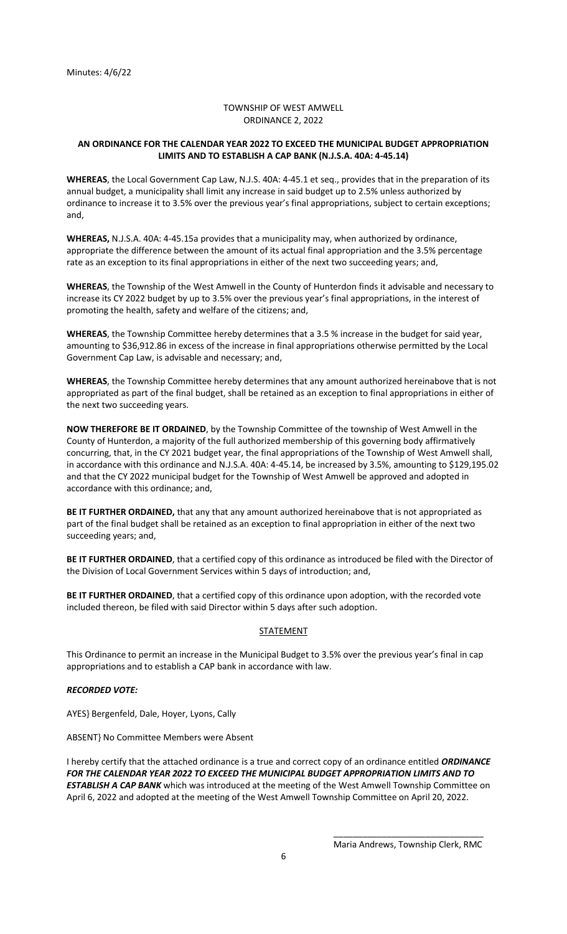### TOWNSHIP OF WEST AMWELL ORDINANCE 2, 2022

### **AN ORDINANCE FOR THE CALENDAR YEAR 2022 TO EXCEED THE MUNICIPAL BUDGET APPROPRIATION LIMITS AND TO ESTABLISH A CAP BANK (N.J.S.A. 40A: 4-45.14)**

**WHEREAS**, the Local Government Cap Law, N.J.S. 40A: 4-45.1 et seq., provides that in the preparation of its annual budget, a municipality shall limit any increase in said budget up to 2.5% unless authorized by ordinance to increase it to 3.5% over the previous year's final appropriations, subject to certain exceptions; and,

**WHEREAS,** N.J.S.A. 40A: 4-45.15a provides that a municipality may, when authorized by ordinance, appropriate the difference between the amount of its actual final appropriation and the 3.5% percentage rate as an exception to its final appropriations in either of the next two succeeding years; and,

**WHEREAS**, the Township of the West Amwell in the County of Hunterdon finds it advisable and necessary to increase its CY 2022 budget by up to 3.5% over the previous year's final appropriations, in the interest of promoting the health, safety and welfare of the citizens; and,

**WHEREAS**, the Township Committee hereby determines that a 3.5 % increase in the budget for said year, amounting to \$36,912.86 in excess of the increase in final appropriations otherwise permitted by the Local Government Cap Law, is advisable and necessary; and,

**WHEREAS**, the Township Committee hereby determines that any amount authorized hereinabove that is not appropriated as part of the final budget, shall be retained as an exception to final appropriations in either of the next two succeeding years.

**NOW THEREFORE BE IT ORDAINED**, by the Township Committee of the township of West Amwell in the County of Hunterdon, a majority of the full authorized membership of this governing body affirmatively concurring, that, in the CY 2021 budget year, the final appropriations of the Township of West Amwell shall, in accordance with this ordinance and N.J.S.A. 40A: 4-45.14, be increased by 3.5%, amounting to \$129,195.02 and that the CY 2022 municipal budget for the Township of West Amwell be approved and adopted in accordance with this ordinance; and,

**BE IT FURTHER ORDAINED,** that any that any amount authorized hereinabove that is not appropriated as part of the final budget shall be retained as an exception to final appropriation in either of the next two succeeding years; and,

**BE IT FURTHER ORDAINED**, that a certified copy of this ordinance as introduced be filed with the Director of the Division of Local Government Services within 5 days of introduction; and,

**BE IT FURTHER ORDAINED**, that a certified copy of this ordinance upon adoption, with the recorded vote included thereon, be filed with said Director within 5 days after such adoption.

### **STATEMENT**

This Ordinance to permit an increase in the Municipal Budget to 3.5% over the previous year's final in cap appropriations and to establish a CAP bank in accordance with law.

### *RECORDED VOTE:*

AYES} Bergenfeld, Dale, Hoyer, Lyons, Cally

ABSENT} No Committee Members were Absent

I hereby certify that the attached ordinance is a true and correct copy of an ordinance entitled *ORDINANCE FOR THE CALENDAR YEAR 2022 TO EXCEED THE MUNICIPAL BUDGET APPROPRIATION LIMITS AND TO ESTABLISH A CAP BANK* which was introduced at the meeting of the West Amwell Township Committee on April 6, 2022 and adopted at the meeting of the West Amwell Township Committee on April 20, 2022.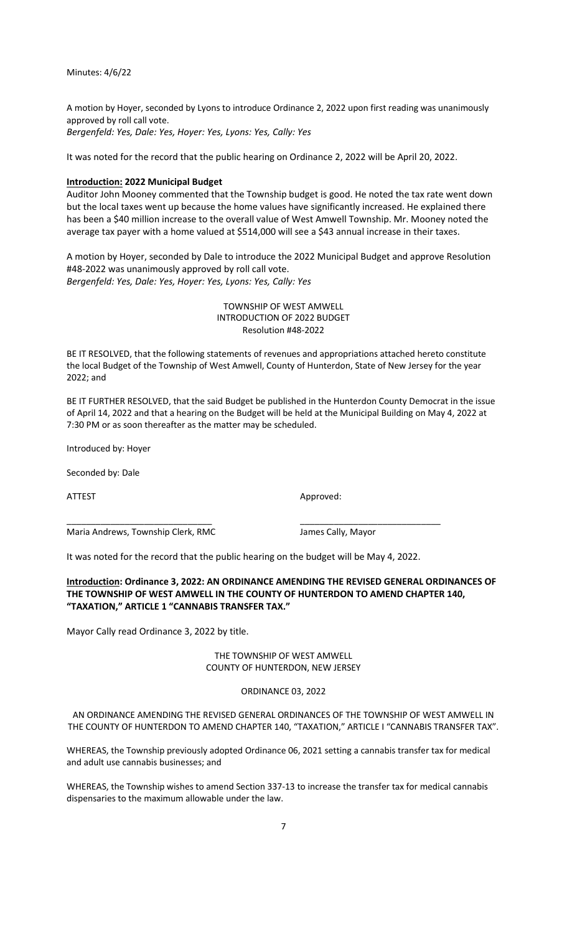A motion by Hoyer, seconded by Lyons to introduce Ordinance 2, 2022 upon first reading was unanimously approved by roll call vote.

*Bergenfeld: Yes, Dale: Yes, Hoyer: Yes, Lyons: Yes, Cally: Yes*

It was noted for the record that the public hearing on Ordinance 2, 2022 will be April 20, 2022.

#### **Introduction: 2022 Municipal Budget**

Auditor John Mooney commented that the Township budget is good. He noted the tax rate went down but the local taxes went up because the home values have significantly increased. He explained there has been a \$40 million increase to the overall value of West Amwell Township. Mr. Mooney noted the average tax payer with a home valued at \$514,000 will see a \$43 annual increase in their taxes.

A motion by Hoyer, seconded by Dale to introduce the 2022 Municipal Budget and approve Resolution #48-2022 was unanimously approved by roll call vote. *Bergenfeld: Yes, Dale: Yes, Hoyer: Yes, Lyons: Yes, Cally: Yes*

# TOWNSHIP OF WEST AMWELL INTRODUCTION OF 2022 BUDGET Resolution #48-2022

BE IT RESOLVED, that the following statements of revenues and appropriations attached hereto constitute the local Budget of the Township of West Amwell, County of Hunterdon, State of New Jersey for the year 2022; and

BE IT FURTHER RESOLVED, that the said Budget be published in the Hunterdon County Democrat in the issue of April 14, 2022 and that a hearing on the Budget will be held at the Municipal Building on May 4, 2022 at 7:30 PM or as soon thereafter as the matter may be scheduled.

Introduced by: Hoyer

Seconded by: Dale

ATTEST AND A PERSONAL ARRAIGNMENT APPROVED.

Maria Andrews, Township Clerk, RMC James Cally, Mayor

It was noted for the record that the public hearing on the budget will be May 4, 2022.

\_\_\_\_\_\_\_\_\_\_\_\_\_\_\_\_\_\_\_\_\_\_\_\_\_\_\_\_\_\_ \_\_\_\_\_\_\_\_\_\_\_\_\_\_\_\_\_\_\_\_\_\_\_\_\_\_\_\_\_

### **Introduction: Ordinance 3, 2022: AN ORDINANCE AMENDING THE REVISED GENERAL ORDINANCES OF THE TOWNSHIP OF WEST AMWELL IN THE COUNTY OF HUNTERDON TO AMEND CHAPTER 140, "TAXATION," ARTICLE 1 "CANNABIS TRANSFER TAX."**

Mayor Cally read Ordinance 3, 2022 by title.

THE TOWNSHIP OF WEST AMWELL COUNTY OF HUNTERDON, NEW JERSEY

ORDINANCE 03, 2022

AN ORDINANCE AMENDING THE REVISED GENERAL ORDINANCES OF THE TOWNSHIP OF WEST AMWELL IN THE COUNTY OF HUNTERDON TO AMEND CHAPTER 140, "TAXATION," ARTICLE I "CANNABIS TRANSFER TAX".

WHEREAS, the Township previously adopted Ordinance 06, 2021 setting a cannabis transfer tax for medical and adult use cannabis businesses; and

WHEREAS, the Township wishes to amend Section 337-13 to increase the transfer tax for medical cannabis dispensaries to the maximum allowable under the law.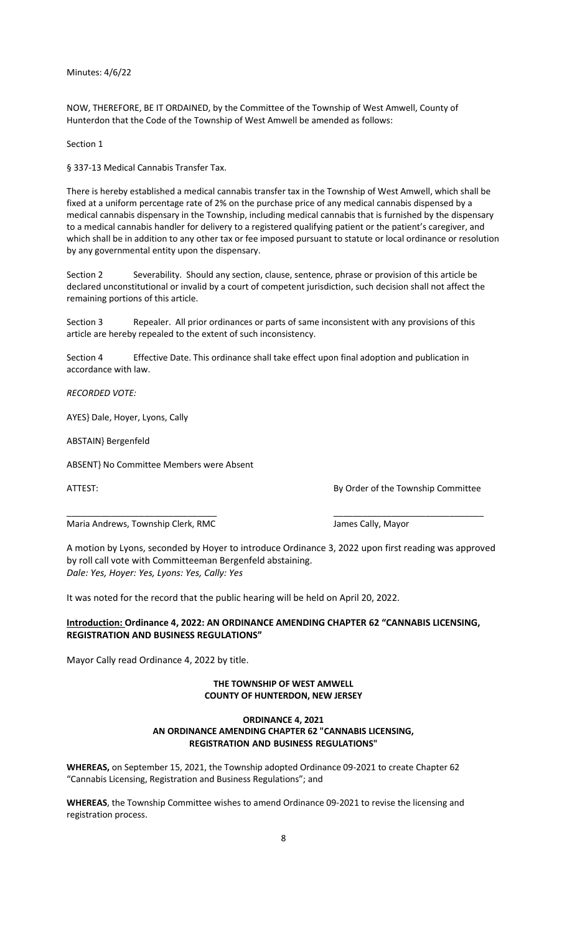NOW, THEREFORE, BE IT ORDAINED, by the Committee of the Township of West Amwell, County of Hunterdon that the Code of the Township of West Amwell be amended as follows:

Section 1

§ 337-13 Medical Cannabis Transfer Tax.

There is hereby established a medical cannabis transfer tax in the Township of West Amwell, which shall be fixed at a uniform percentage rate of 2% on the purchase price of any medical cannabis dispensed by a medical cannabis dispensary in the Township, including medical cannabis that is furnished by the dispensary to a medical cannabis handler for delivery to a registered qualifying patient or the patient's caregiver, and which shall be in addition to any other tax or fee imposed pursuant to statute or local ordinance or resolution by any governmental entity upon the dispensary.

Section 2 Severability. Should any section, clause, sentence, phrase or provision of this article be declared unconstitutional or invalid by a court of competent jurisdiction, such decision shall not affect the remaining portions of this article.

Section 3 Repealer. All prior ordinances or parts of same inconsistent with any provisions of this article are hereby repealed to the extent of such inconsistency.

Section 4 Effective Date. This ordinance shall take effect upon final adoption and publication in accordance with law.

*RECORDED VOTE:*

AYES} Dale, Hoyer, Lyons, Cally

ABSTAIN} Bergenfeld

ABSENT} No Committee Members were Absent

ATTEST: AND A REPORT OF THE STATEST BY Order of the Township Committee

Maria Andrews, Township Clerk, RMC James Cally, Mayor

A motion by Lyons, seconded by Hoyer to introduce Ordinance 3, 2022 upon first reading was approved by roll call vote with Committeeman Bergenfeld abstaining. *Dale: Yes, Hoyer: Yes, Lyons: Yes, Cally: Yes*

\_\_\_\_\_\_\_\_\_\_\_\_\_\_\_\_\_\_\_\_\_\_\_\_\_\_\_\_\_\_\_ \_\_\_\_\_\_\_\_\_\_\_\_\_\_\_\_\_\_\_\_\_\_\_\_\_\_\_\_\_\_\_

It was noted for the record that the public hearing will be held on April 20, 2022.

# **Introduction: Ordinance 4, 2022: AN ORDINANCE AMENDING CHAPTER 62 "CANNABIS LICENSING, REGISTRATION AND BUSINESS REGULATIONS"**

Mayor Cally read Ordinance 4, 2022 by title.

# **THE TOWNSHIP OF WEST AMWELL COUNTY OF HUNTERDON, NEW JERSEY**

### **ORDINANCE 4, 2021 AN ORDINANCE AMENDING CHAPTER 62 "CANNABIS LICENSING, REGISTRATION AND BUSINESS REGULATIONS"**

**WHEREAS,** on September 15, 2021, the Township adopted Ordinance 09-2021 to create Chapter 62 "Cannabis Licensing, Registration and Business Regulations"; and

**WHEREAS**, the Township Committee wishes to amend Ordinance 09-2021 to revise the licensing and registration process.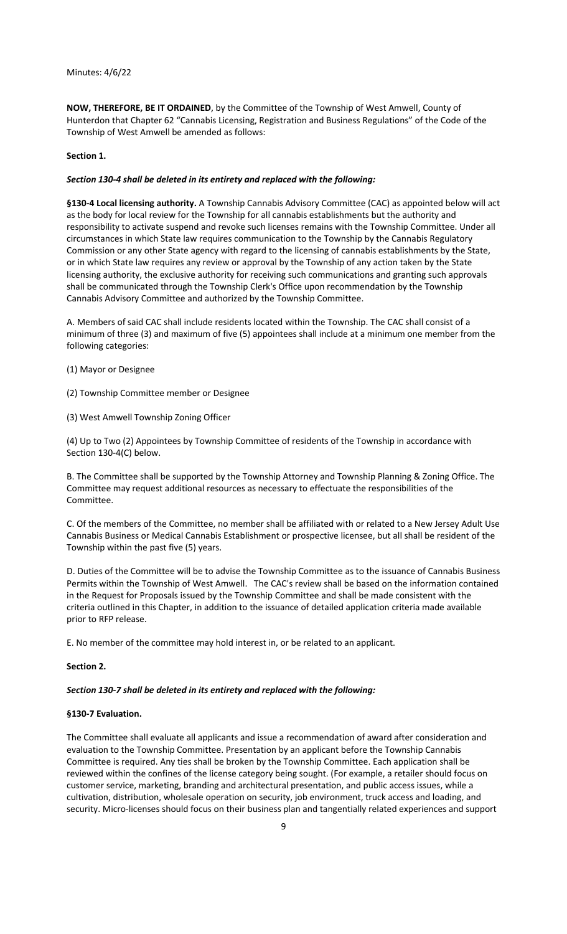**NOW, THEREFORE, BE IT ORDAINED**, by the Committee of the Township of West Amwell, County of Hunterdon that Chapter 62 "Cannabis Licensing, Registration and Business Regulations" of the Code of the Township of West Amwell be amended as follows:

### **Section 1.**

#### *Section 130-4 shall be deleted in its entirety and replaced with the following:*

**§130-4 Local licensing authority.** A Township Cannabis Advisory Committee (CAC) as appointed below will act as the body for local review for the Township for all cannabis establishments but the authority and responsibility to activate suspend and revoke such licenses remains with the Township Committee. Under all circumstances in which State law requires communication to the Township by the Cannabis Regulatory Commission or any other State agency with regard to the licensing of cannabis establishments by the State, or in which State law requires any review or approval by the Township of any action taken by the State licensing authority, the exclusive authority for receiving such communications and granting such approvals shall be communicated through the Township Clerk's Office upon recommendation by the Township Cannabis Advisory Committee and authorized by the Township Committee.

A. Members of said CAC shall include residents located within the Township. The CAC shall consist of a minimum of three (3) and maximum of five (5) appointees shall include at a minimum one member from the following categories:

- (1) Mayor or Designee
- (2) Township Committee member or Designee
- (3) West Amwell Township Zoning Officer

(4) Up to Two (2) Appointees by Township Committee of residents of the Township in accordance with Section 130-4(C) below.

B. The Committee shall be supported by the Township Attorney and Township Planning & Zoning Office. The Committee may request additional resources as necessary to effectuate the responsibilities of the Committee.

C. Of the members of the Committee, no member shall be affiliated with or related to a New Jersey Adult Use Cannabis Business or Medical Cannabis Establishment or prospective licensee, but all shall be resident of the Township within the past five (5) years.

D. Duties of the Committee will be to advise the Township Committee as to the issuance of Cannabis Business Permits within the Township of West Amwell. The CAC's review shall be based on the information contained in the Request for Proposals issued by the Township Committee and shall be made consistent with the criteria outlined in this Chapter, in addition to the issuance of detailed application criteria made available prior to RFP release.

E. No member of the committee may hold interest in, or be related to an applicant.

#### **Section 2.**

#### *Section 130-7 shall be deleted in its entirety and replaced with the following:*

#### **§130-7 Evaluation.**

The Committee shall evaluate all applicants and issue a recommendation of award after consideration and evaluation to the Township Committee. Presentation by an applicant before the Township Cannabis Committee is required. Any ties shall be broken by the Township Committee. Each application shall be reviewed within the confines of the license category being sought. (For example, a retailer should focus on customer service, marketing, branding and architectural presentation, and public access issues, while a cultivation, distribution, wholesale operation on security, job environment, truck access and loading, and security. Micro-licenses should focus on their business plan and tangentially related experiences and support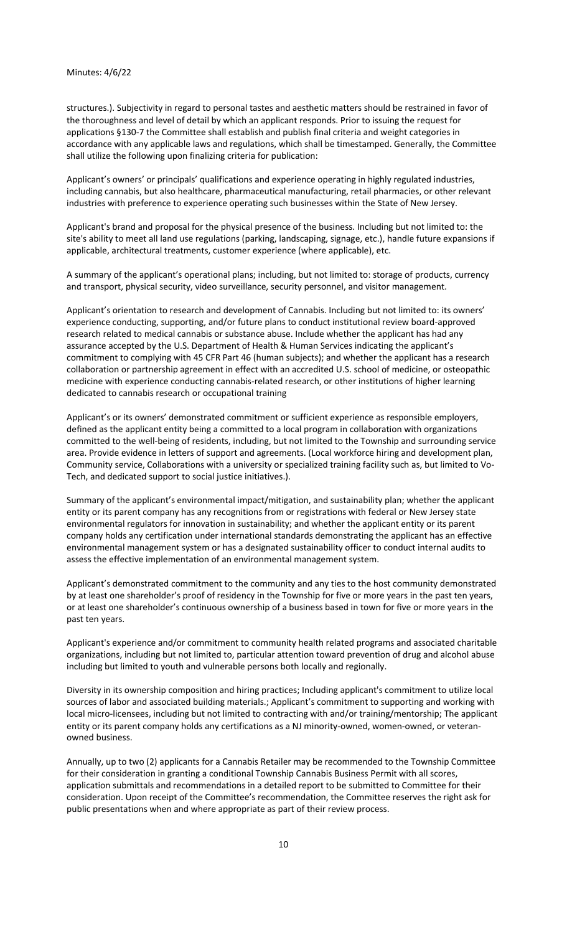structures.). Subjectivity in regard to personal tastes and aesthetic matters should be restrained in favor of the thoroughness and level of detail by which an applicant responds. Prior to issuing the request for applications §130-7 the Committee shall establish and publish final criteria and weight categories in accordance with any applicable laws and regulations, which shall be timestamped. Generally, the Committee shall utilize the following upon finalizing criteria for publication:

Applicant's owners' or principals' qualifications and experience operating in highly regulated industries, including cannabis, but also healthcare, pharmaceutical manufacturing, retail pharmacies, or other relevant industries with preference to experience operating such businesses within the State of New Jersey.

Applicant's brand and proposal for the physical presence of the business. Including but not limited to: the site's ability to meet all land use regulations (parking, landscaping, signage, etc.), handle future expansions if applicable, architectural treatments, customer experience (where applicable), etc.

A summary of the applicant's operational plans; including, but not limited to: storage of products, currency and transport, physical security, video surveillance, security personnel, and visitor management.

Applicant's orientation to research and development of Cannabis. Including but not limited to: its owners' experience conducting, supporting, and/or future plans to conduct institutional review board-approved research related to medical cannabis or substance abuse. Include whether the applicant has had any assurance accepted by the U.S. Department of Health & Human Services indicating the applicant's commitment to complying with 45 CFR Part 46 (human subjects); and whether the applicant has a research collaboration or partnership agreement in effect with an accredited U.S. school of medicine, or osteopathic medicine with experience conducting cannabis-related research, or other institutions of higher learning dedicated to cannabis research or occupational training

Applicant's or its owners' demonstrated commitment or sufficient experience as responsible employers, defined as the applicant entity being a committed to a local program in collaboration with organizations committed to the well-being of residents, including, but not limited to the Township and surrounding service area. Provide evidence in letters of support and agreements. (Local workforce hiring and development plan, Community service, Collaborations with a university or specialized training facility such as, but limited to Vo-Tech, and dedicated support to social justice initiatives.).

Summary of the applicant's environmental impact/mitigation, and sustainability plan; whether the applicant entity or its parent company has any recognitions from or registrations with federal or New Jersey state environmental regulators for innovation in sustainability; and whether the applicant entity or its parent company holds any certification under international standards demonstrating the applicant has an effective environmental management system or has a designated sustainability officer to conduct internal audits to assess the effective implementation of an environmental management system.

Applicant's demonstrated commitment to the community and any ties to the host community demonstrated by at least one shareholder's proof of residency in the Township for five or more years in the past ten years, or at least one shareholder's continuous ownership of a business based in town for five or more years in the past ten years.

Applicant's experience and/or commitment to community health related programs and associated charitable organizations, including but not limited to, particular attention toward prevention of drug and alcohol abuse including but limited to youth and vulnerable persons both locally and regionally.

Diversity in its ownership composition and hiring practices; Including applicant's commitment to utilize local sources of labor and associated building materials.; Applicant's commitment to supporting and working with local micro-licensees, including but not limited to contracting with and/or training/mentorship; The applicant entity or its parent company holds any certifications as a NJ minority-owned, women-owned, or veteranowned business.

Annually, up to two (2) applicants for a Cannabis Retailer may be recommended to the Township Committee for their consideration in granting a conditional Township Cannabis Business Permit with all scores, application submittals and recommendations in a detailed report to be submitted to Committee for their consideration. Upon receipt of the Committee's recommendation, the Committee reserves the right ask for public presentations when and where appropriate as part of their review process.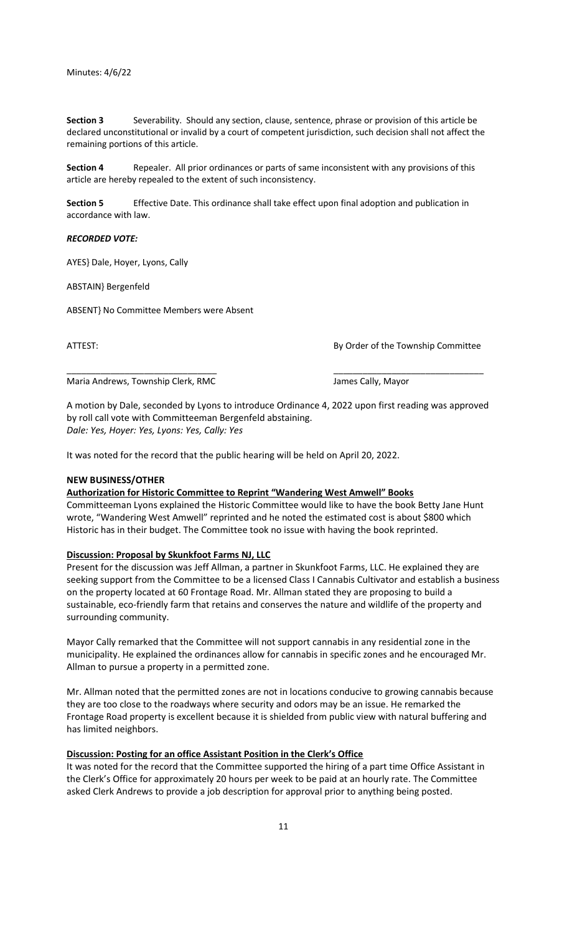**Section 3** Severability. Should any section, clause, sentence, phrase or provision of this article be declared unconstitutional or invalid by a court of competent jurisdiction, such decision shall not affect the remaining portions of this article.

**Section 4** Repealer. All prior ordinances or parts of same inconsistent with any provisions of this article are hereby repealed to the extent of such inconsistency.

**Section 5** Effective Date. This ordinance shall take effect upon final adoption and publication in accordance with law.

*RECORDED VOTE:*

AYES} Dale, Hoyer, Lyons, Cally

ABSTAIN} Bergenfeld

ABSENT} No Committee Members were Absent

ATTEST: AND A SERIES AND A SERIES AND A SERIES AND A SERIES AND RESIDENCE BY Order of the Township Committee

Maria Andrews, Township Clerk, RMC Maria Andrews, Township Clerk, RMC

A motion by Dale, seconded by Lyons to introduce Ordinance 4, 2022 upon first reading was approved by roll call vote with Committeeman Bergenfeld abstaining. *Dale: Yes, Hoyer: Yes, Lyons: Yes, Cally: Yes*

\_\_\_\_\_\_\_\_\_\_\_\_\_\_\_\_\_\_\_\_\_\_\_\_\_\_\_\_\_\_\_ \_\_\_\_\_\_\_\_\_\_\_\_\_\_\_\_\_\_\_\_\_\_\_\_\_\_\_\_\_\_\_

It was noted for the record that the public hearing will be held on April 20, 2022.

#### **NEW BUSINESS/OTHER**

#### **Authorization for Historic Committee to Reprint "Wandering West Amwell" Books**

Committeeman Lyons explained the Historic Committee would like to have the book Betty Jane Hunt wrote, "Wandering West Amwell" reprinted and he noted the estimated cost is about \$800 which Historic has in their budget. The Committee took no issue with having the book reprinted.

#### **Discussion: Proposal by Skunkfoot Farms NJ, LLC**

Present for the discussion was Jeff Allman, a partner in Skunkfoot Farms, LLC. He explained they are seeking support from the Committee to be a licensed Class I Cannabis Cultivator and establish a business on the property located at 60 Frontage Road. Mr. Allman stated they are proposing to build a sustainable, eco-friendly farm that retains and conserves the nature and wildlife of the property and surrounding community.

Mayor Cally remarked that the Committee will not support cannabis in any residential zone in the municipality. He explained the ordinances allow for cannabis in specific zones and he encouraged Mr. Allman to pursue a property in a permitted zone.

Mr. Allman noted that the permitted zones are not in locations conducive to growing cannabis because they are too close to the roadways where security and odors may be an issue. He remarked the Frontage Road property is excellent because it is shielded from public view with natural buffering and has limited neighbors.

### **Discussion: Posting for an office Assistant Position in the Clerk's Office**

It was noted for the record that the Committee supported the hiring of a part time Office Assistant in the Clerk's Office for approximately 20 hours per week to be paid at an hourly rate. The Committee asked Clerk Andrews to provide a job description for approval prior to anything being posted.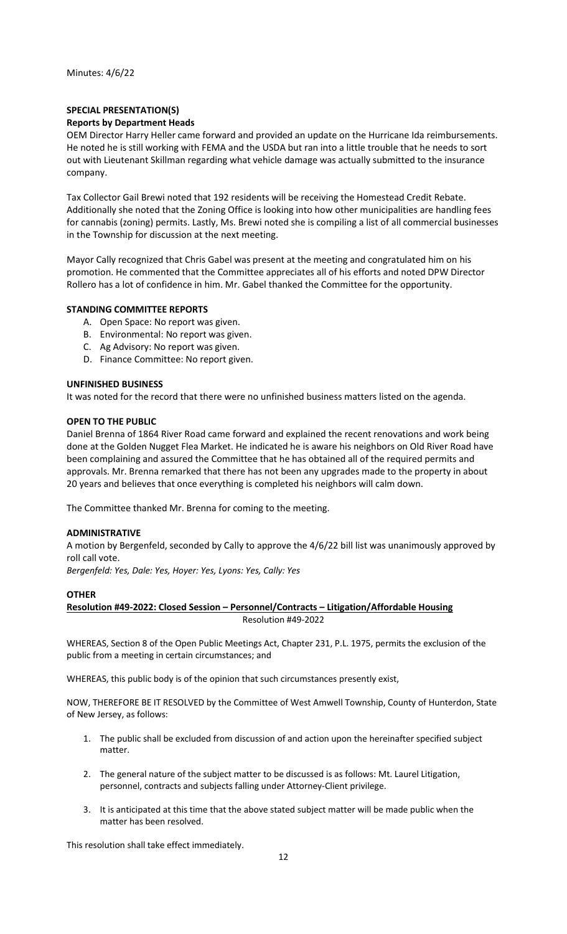# **SPECIAL PRESENTATION(S) Reports by Department Heads**

OEM Director Harry Heller came forward and provided an update on the Hurricane Ida reimbursements. He noted he is still working with FEMA and the USDA but ran into a little trouble that he needs to sort out with Lieutenant Skillman regarding what vehicle damage was actually submitted to the insurance company.

Tax Collector Gail Brewi noted that 192 residents will be receiving the Homestead Credit Rebate. Additionally she noted that the Zoning Office is looking into how other municipalities are handling fees for cannabis (zoning) permits. Lastly, Ms. Brewi noted she is compiling a list of all commercial businesses in the Township for discussion at the next meeting.

Mayor Cally recognized that Chris Gabel was present at the meeting and congratulated him on his promotion. He commented that the Committee appreciates all of his efforts and noted DPW Director Rollero has a lot of confidence in him. Mr. Gabel thanked the Committee for the opportunity.

# **STANDING COMMITTEE REPORTS**

- A. Open Space: No report was given.
- B. Environmental: No report was given.
- C. Ag Advisory: No report was given.
- D. Finance Committee: No report given.

### **UNFINISHED BUSINESS**

It was noted for the record that there were no unfinished business matters listed on the agenda.

### **OPEN TO THE PUBLIC**

Daniel Brenna of 1864 River Road came forward and explained the recent renovations and work being done at the Golden Nugget Flea Market. He indicated he is aware his neighbors on Old River Road have been complaining and assured the Committee that he has obtained all of the required permits and approvals. Mr. Brenna remarked that there has not been any upgrades made to the property in about 20 years and believes that once everything is completed his neighbors will calm down.

The Committee thanked Mr. Brenna for coming to the meeting.

### **ADMINISTRATIVE**

A motion by Bergenfeld, seconded by Cally to approve the 4/6/22 bill list was unanimously approved by roll call vote.

*Bergenfeld: Yes, Dale: Yes, Hoyer: Yes, Lyons: Yes, Cally: Yes*

### **OTHER**

# **Resolution #49-2022: Closed Session – Personnel/Contracts – Litigation/Affordable Housing** Resolution #49-2022

WHEREAS, Section 8 of the Open Public Meetings Act, Chapter 231, P.L. 1975, permits the exclusion of the public from a meeting in certain circumstances; and

WHEREAS, this public body is of the opinion that such circumstances presently exist,

NOW, THEREFORE BE IT RESOLVED by the Committee of West Amwell Township, County of Hunterdon, State of New Jersey, as follows:

- 1. The public shall be excluded from discussion of and action upon the hereinafter specified subject matter.
- 2. The general nature of the subject matter to be discussed is as follows: Mt. Laurel Litigation, personnel, contracts and subjects falling under Attorney-Client privilege.
- 3. It is anticipated at this time that the above stated subject matter will be made public when the matter has been resolved.

This resolution shall take effect immediately.